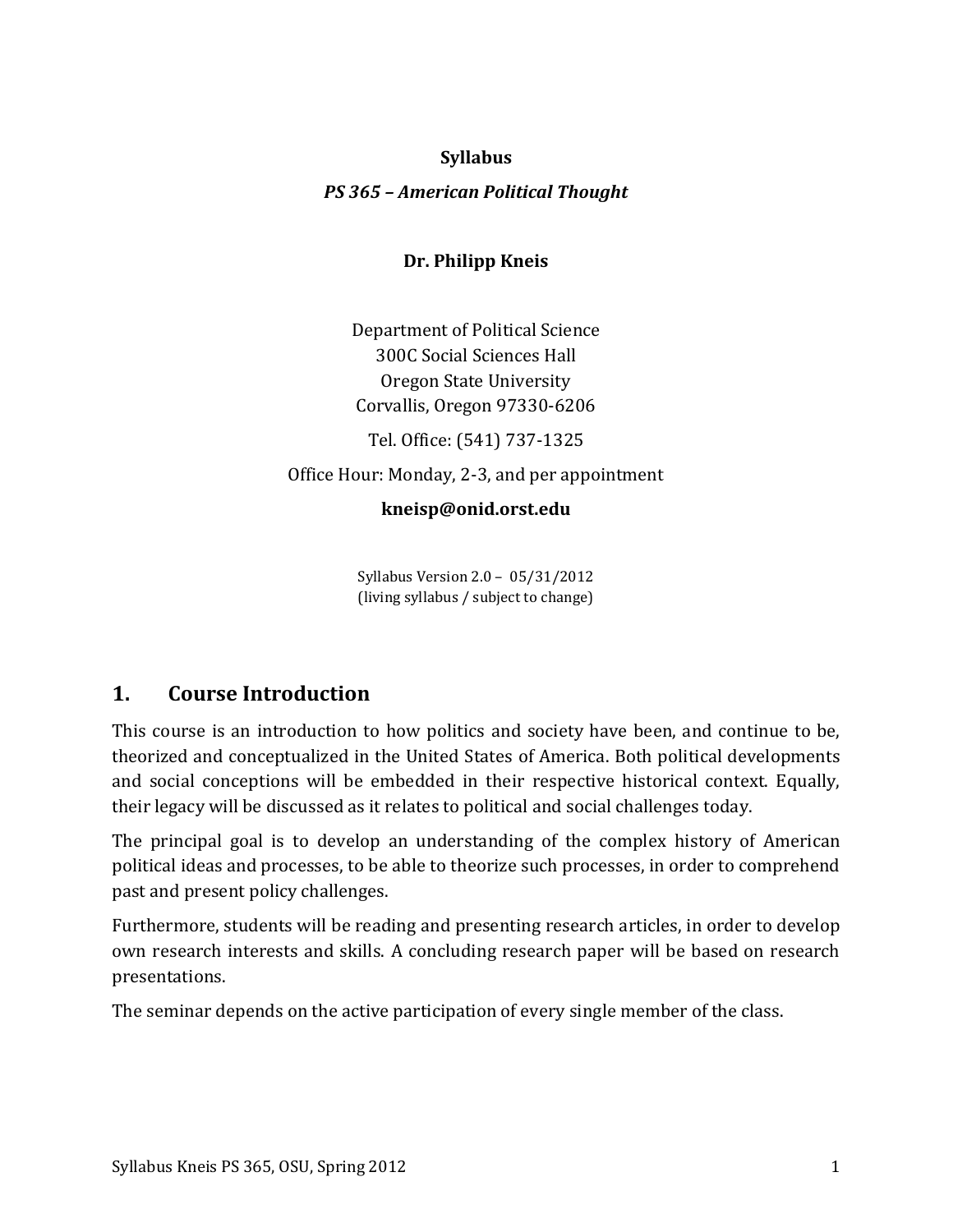# **Syllabus**

# *PS 365 – American Political Thought*

# **Dr. Philipp Kneis**

Department of Political Science 300C Social Sciences Hall Oregon State University Corvallis, Oregon 97330-6206

Tel. Office: (541) 737-1325

Office Hour: Monday, 2-3, and per appointment

# **kneisp@onid.orst.edu**

Syllabus Version 2.0 – 05/31/2012 (living syllabus / subject to change)

# **1. Course Introduction**

This course is an introduction to how politics and society have been, and continue to be, theorized and conceptualized in the United States of America. Both political developments and social conceptions will be embedded in their respective historical context. Equally, their legacy will be discussed as it relates to political and social challenges today.

The principal goal is to develop an understanding of the complex history of American political ideas and processes, to be able to theorize such processes, in order to comprehend past and present policy challenges.

Furthermore, students will be reading and presenting research articles, in order to develop own research interests and skills. A concluding research paper will be based on research presentations.

The seminar depends on the active participation of every single member of the class.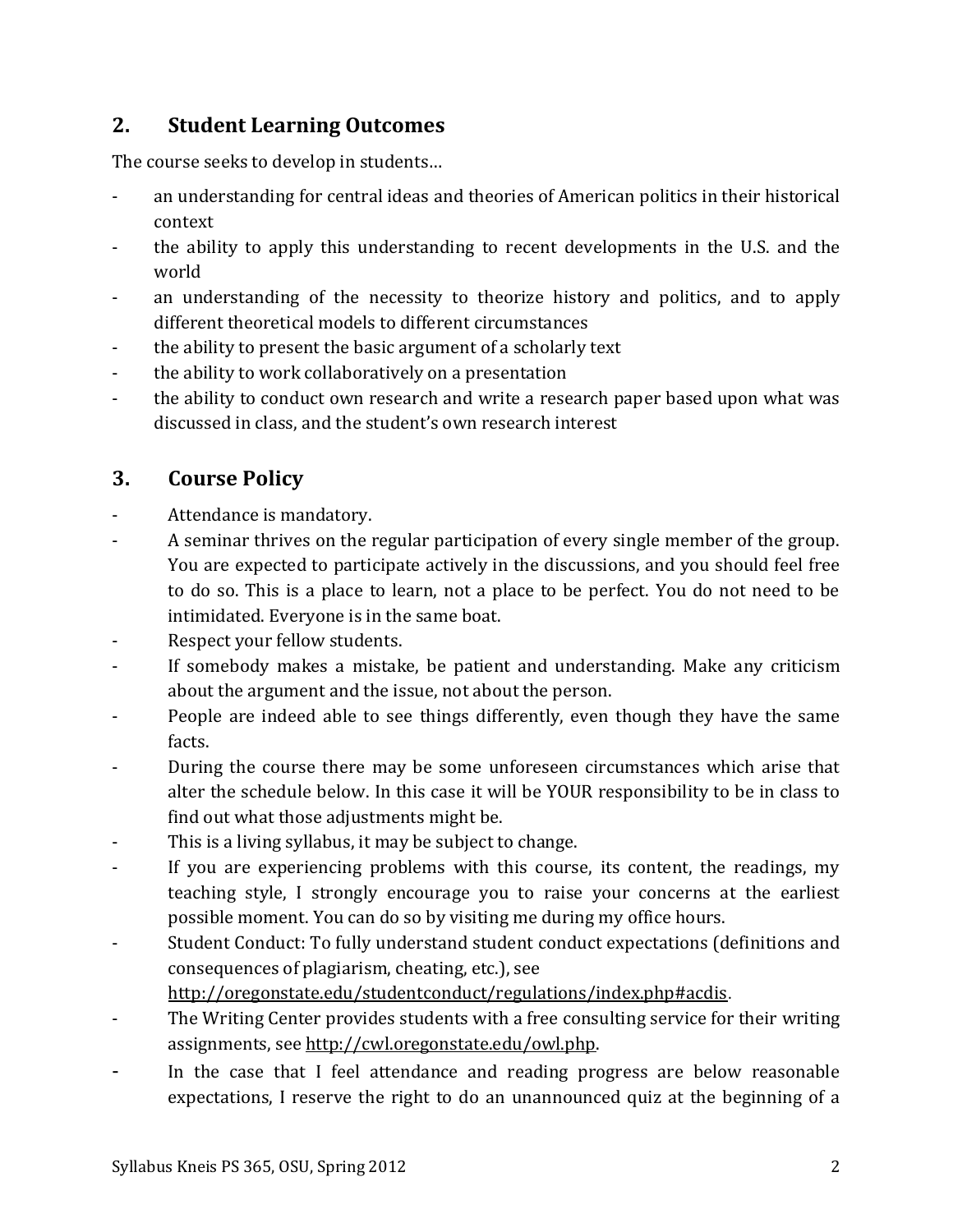# **2. Student Learning Outcomes**

The course seeks to develop in students…

- an understanding for central ideas and theories of American politics in their historical context
- the ability to apply this understanding to recent developments in the U.S. and the world
- an understanding of the necessity to theorize history and politics, and to apply different theoretical models to different circumstances
- the ability to present the basic argument of a scholarly text
- the ability to work collaboratively on a presentation
- the ability to conduct own research and write a research paper based upon what was discussed in class, and the student's own research interest

# **3. Course Policy**

- Attendance is mandatory.
- A seminar thrives on the regular participation of every single member of the group. You are expected to participate actively in the discussions, and you should feel free to do so. This is a place to learn, not a place to be perfect. You do not need to be intimidated. Everyone is in the same boat.
- Respect your fellow students.
- If somebody makes a mistake, be patient and understanding. Make any criticism about the argument and the issue, not about the person.
- People are indeed able to see things differently, even though they have the same facts.
- During the course there may be some unforeseen circumstances which arise that alter the schedule below. In this case it will be YOUR responsibility to be in class to find out what those adjustments might be.
- This is a living syllabus, it may be subject to change.
- If you are experiencing problems with this course, its content, the readings, my teaching style, I strongly encourage you to raise your concerns at the earliest possible moment. You can do so by visiting me during my office hours.
- Student Conduct: To fully understand student conduct expectations (definitions and consequences of plagiarism, cheating, etc.), see
	- <http://oregonstate.edu/studentconduct/regulations/index.php#acdis>.
- The Writing Center provides students with a free consulting service for their writing assignments, see [http://cwl.oregonstate.edu/owl.php.](http://cwl.oregonstate.edu/owl.php)
- In the case that I feel attendance and reading progress are below reasonable expectations, I reserve the right to do an unannounced quiz at the beginning of a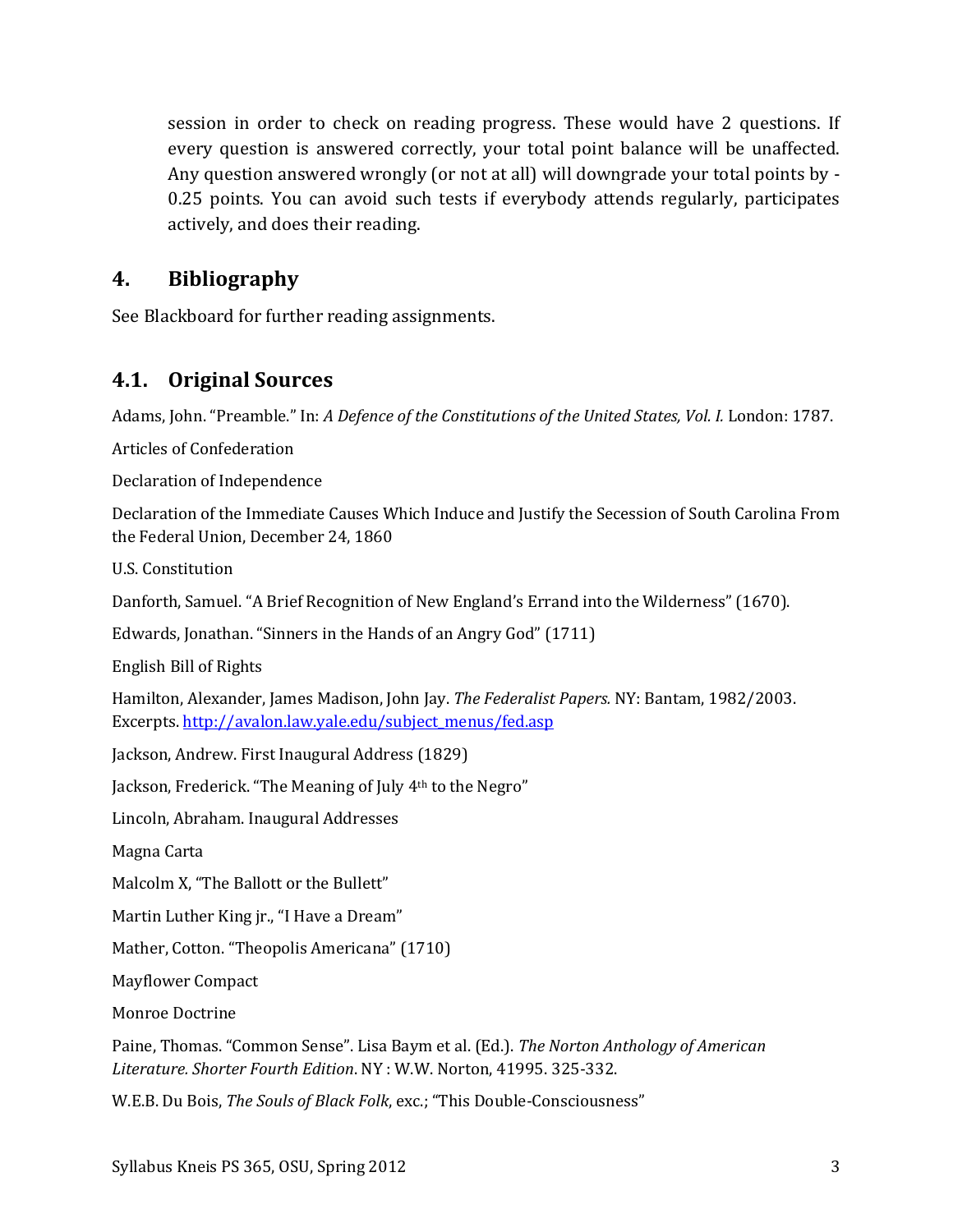session in order to check on reading progress. These would have 2 questions. If every question is answered correctly, your total point balance will be unaffected. Any question answered wrongly (or not at all) will downgrade your total points by - 0.25 points. You can avoid such tests if everybody attends regularly, participates actively, and does their reading.

# **4. Bibliography**

See Blackboard for further reading assignments.

# **4.1. Original Sources**

Adams, John. "Preamble." In: *A Defence of the Constitutions of the United States, Vol. I. London: 1787.* 

Articles of Confederation

Declaration of Independence

Declaration of the Immediate Causes Which Induce and Justify the Secession of South Carolina From the Federal Union, December 24, 1860

U.S. Constitution

Danforth, Samuel. "A Brief Recognition of New England's Errand into the Wilderness" (1670).

Edwards, Jonathan. "Sinners in the Hands of an Angry God" (1711)

English Bill of Rights

Hamilton, Alexander, James Madison, John Jay. *The Federalist Papers.* NY: Bantam, 1982/2003. Excerpts[. http://avalon.law.yale.edu/subject\\_menus/fed.asp](http://avalon.law.yale.edu/subject_menus/fed.asp)

Jackson, Andrew. First Inaugural Address (1829)

Jackson, Frederick. "The Meaning of July 4th to the Negro"

Lincoln, Abraham. Inaugural Addresses

Magna Carta

Malcolm X, "The Ballott or the Bullett"

Martin Luther King jr., "I Have a Dream"

Mather, Cotton. "Theopolis Americana" (1710)

Mayflower Compact

Monroe Doctrine

Paine, Thomas. "Common Sense". Lisa Baym et al. (Ed.). *The Norton Anthology of American Literature. Shorter Fourth Edition*. NY : W.W. Norton, 41995. 325-332.

W.E.B. Du Bois, *The Souls of Black Folk*, exc.; "This Double-Consciousness"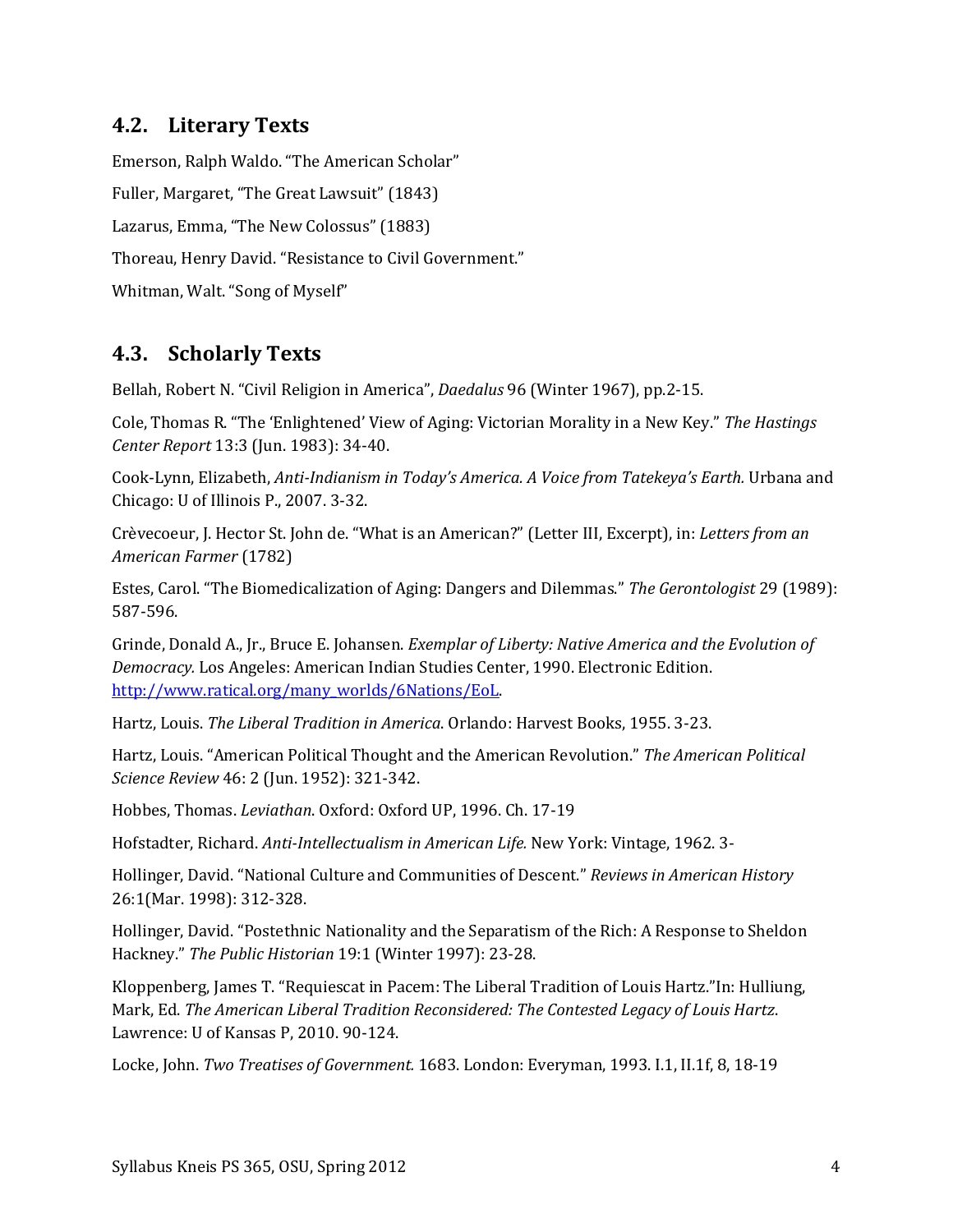# **4.2. Literary Texts**

Emerson, Ralph Waldo. "The American Scholar" Fuller, Margaret, "The Great Lawsuit" (1843) Lazarus, Emma, "The New Colossus" (1883) Thoreau, Henry David. "Resistance to Civil Government." Whitman, Walt. "Song of Myself"

# **4.3. Scholarly Texts**

Bellah, Robert N. "Civil Religion in America", *Daedalus* 96 (Winter 1967), pp.2-15.

Cole, Thomas R. "The 'Enlightened' View of Aging: Victorian Morality in a New Key." *The Hastings Center Report* 13:3 (Jun. 1983): 34-40.

Cook-Lynn, Elizabeth, *Anti-Indianism in Today's America. A Voice from Tatekeya's Earth.* Urbana and Chicago: U of Illinois P., 2007. 3-32.

Crèvecoeur, J. Hector St. John de. "What is an American?" (Letter III, Excerpt), in: *Letters from an American Farmer* (1782)

Estes, Carol. "The Biomedicalization of Aging: Dangers and Dilemmas." *The Gerontologist* 29 (1989): 587-596.

Grinde, Donald A., Jr., Bruce E. Johansen. *Exemplar of Liberty: Native America and the Evolution of Democracy.* Los Angeles: American Indian Studies Center, 1990. Electronic Edition. [http://www.ratical.org/many\\_worlds/6Nations/EoL.](http://www.ratical.org/many_worlds/6Nations/EoL)

Hartz, Louis. *The Liberal Tradition in America*. Orlando: Harvest Books, 1955. 3-23.

Hartz, Louis. "American Political Thought and the American Revolution." *The American Political Science Review* 46: 2 (Jun. 1952): 321-342.

Hobbes, Thomas. *Leviathan*. Oxford: Oxford UP, 1996. Ch. 17-19

Hofstadter, Richard. *Anti-Intellectualism in American Life.* New York: Vintage, 1962. 3-

Hollinger, David. "National Culture and Communities of Descent." *Reviews in American History* 26:1(Mar. 1998): 312-328.

Hollinger, David. "Postethnic Nationality and the Separatism of the Rich: A Response to Sheldon Hackney." *The Public Historian* 19:1 (Winter 1997): 23-28.

Kloppenberg, James T. "Requiescat in Pacem: The Liberal Tradition of Louis Hartz."In: Hulliung, Mark, Ed. *The American Liberal Tradition Reconsidered: The Contested Legacy of Louis Hartz*. Lawrence: U of Kansas P, 2010. 90-124.

Locke, John. *Two Treatises of Government.* 1683. London: Everyman, 1993. I.1, II.1f, 8, 18-19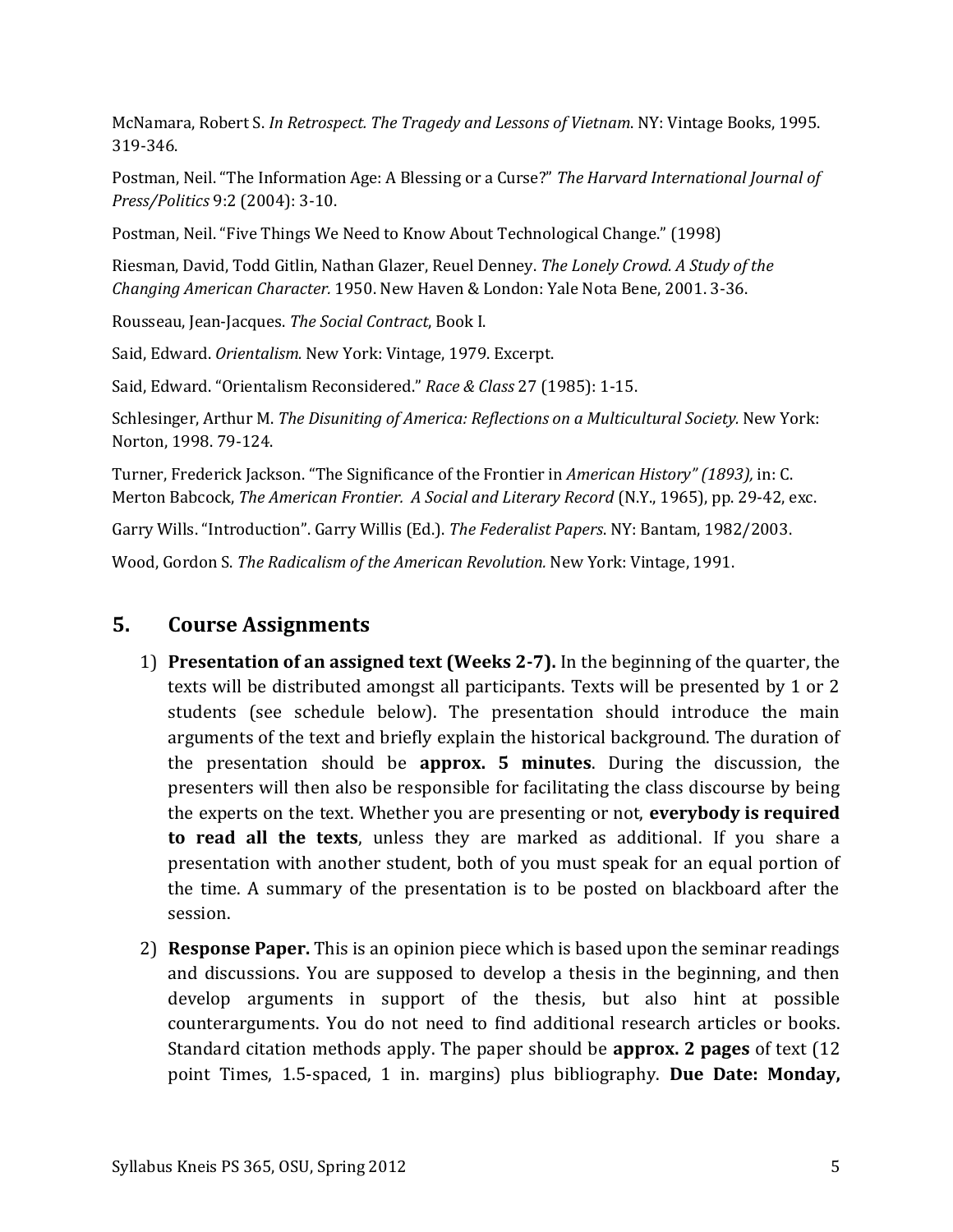McNamara, Robert S. *In Retrospect. The Tragedy and Lessons of Vietnam*. NY: Vintage Books, 1995. 319-346.

Postman, Neil. "The Information Age: A Blessing or a Curse?" *The Harvard International Journal of Press/Politics* 9:2 (2004): 3-10.

Postman, Neil. "Five Things We Need to Know About Technological Change." (1998)

Riesman, David, Todd Gitlin, Nathan Glazer, Reuel Denney. *The Lonely Crowd. A Study of the Changing American Character.* 1950. New Haven & London: Yale Nota Bene, 2001. 3-36.

Rousseau, Jean-Jacques. *The Social Contract*, Book I.

Said, Edward. *Orientalism.* New York: Vintage, 1979. Excerpt.

Said, Edward. "Orientalism Reconsidered." *Race & Class* 27 (1985): 1-15.

Schlesinger, Arthur M. *The Disuniting of America: Reflections on a Multicultural Society.* New York: Norton, 1998. 79-124.

Turner, Frederick Jackson. "The Significance of the Frontier in *American History" (1893),* in: C. Merton Babcock, *The American Frontier. A Social and Literary Record* (N.Y., 1965), pp. 29-42, exc.

Garry Wills. "Introduction". Garry Willis (Ed.). *The Federalist Papers*. NY: Bantam, 1982/2003.

Wood, Gordon S. *The Radicalism of the American Revolution.* New York: Vintage, 1991.

# **5. Course Assignments**

- 1) **Presentation of an assigned text (Weeks 2-7).** In the beginning of the quarter, the texts will be distributed amongst all participants. Texts will be presented by 1 or 2 students (see schedule below). The presentation should introduce the main arguments of the text and briefly explain the historical background. The duration of the presentation should be **approx. 5 minutes**. During the discussion, the presenters will then also be responsible for facilitating the class discourse by being the experts on the text. Whether you are presenting or not, **everybody is required to read all the texts**, unless they are marked as additional. If you share a presentation with another student, both of you must speak for an equal portion of the time. A summary of the presentation is to be posted on blackboard after the session.
- 2) **Response Paper.** This is an opinion piece which is based upon the seminar readings and discussions. You are supposed to develop a thesis in the beginning, and then develop arguments in support of the thesis, but also hint at possible counterarguments. You do not need to find additional research articles or books. Standard citation methods apply. The paper should be **approx. 2 pages** of text (12 point Times, 1.5-spaced, 1 in. margins) plus bibliography. **Due Date: Monday,**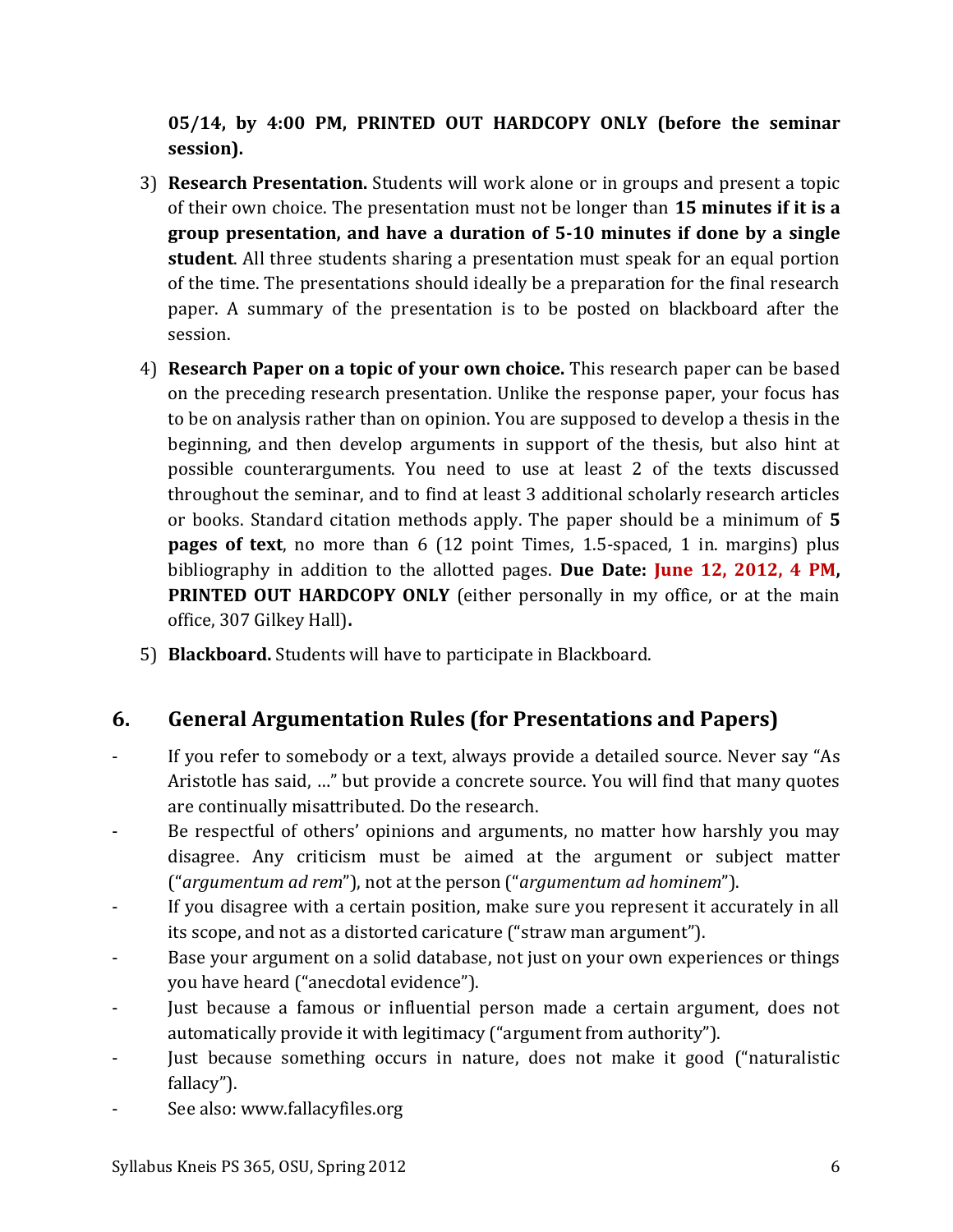**05/14, by 4:00 PM, PRINTED OUT HARDCOPY ONLY (before the seminar session).**

- 3) **Research Presentation.** Students will work alone or in groups and present a topic of their own choice. The presentation must not be longer than **15 minutes if it is a group presentation, and have a duration of 5-10 minutes if done by a single student**. All three students sharing a presentation must speak for an equal portion of the time. The presentations should ideally be a preparation for the final research paper. A summary of the presentation is to be posted on blackboard after the session.
- 4) **Research Paper on a topic of your own choice.** This research paper can be based on the preceding research presentation. Unlike the response paper, your focus has to be on analysis rather than on opinion. You are supposed to develop a thesis in the beginning, and then develop arguments in support of the thesis, but also hint at possible counterarguments. You need to use at least 2 of the texts discussed throughout the seminar, and to find at least 3 additional scholarly research articles or books. Standard citation methods apply. The paper should be a minimum of **5 pages of text**, no more than 6 (12 point Times, 1.5-spaced, 1 in. margins) plus bibliography in addition to the allotted pages. **Due Date: June 12, 2012, 4 PM, PRINTED OUT HARDCOPY ONLY** (either personally in my office, or at the main office, 307 Gilkey Hall)**.**
- 5) **Blackboard.** Students will have to participate in Blackboard.

# **6. General Argumentation Rules (for Presentations and Papers)**

- If you refer to somebody or a text, always provide a detailed source. Never say "As Aristotle has said, …" but provide a concrete source. You will find that many quotes are continually misattributed. Do the research.
- Be respectful of others' opinions and arguments, no matter how harshly you may disagree. Any criticism must be aimed at the argument or subject matter ("*argumentum ad rem*"), not at the person ("*argumentum ad hominem*").
- If you disagree with a certain position, make sure you represent it accurately in all its scope, and not as a distorted caricature ("straw man argument").
- Base your argument on a solid database, not just on your own experiences or things you have heard ("anecdotal evidence").
- Just because a famous or influential person made a certain argument, does not automatically provide it with legitimacy ("argument from authority").
- Just because something occurs in nature, does not make it good ("naturalistic fallacy").
- See also: www.fallacyfiles.org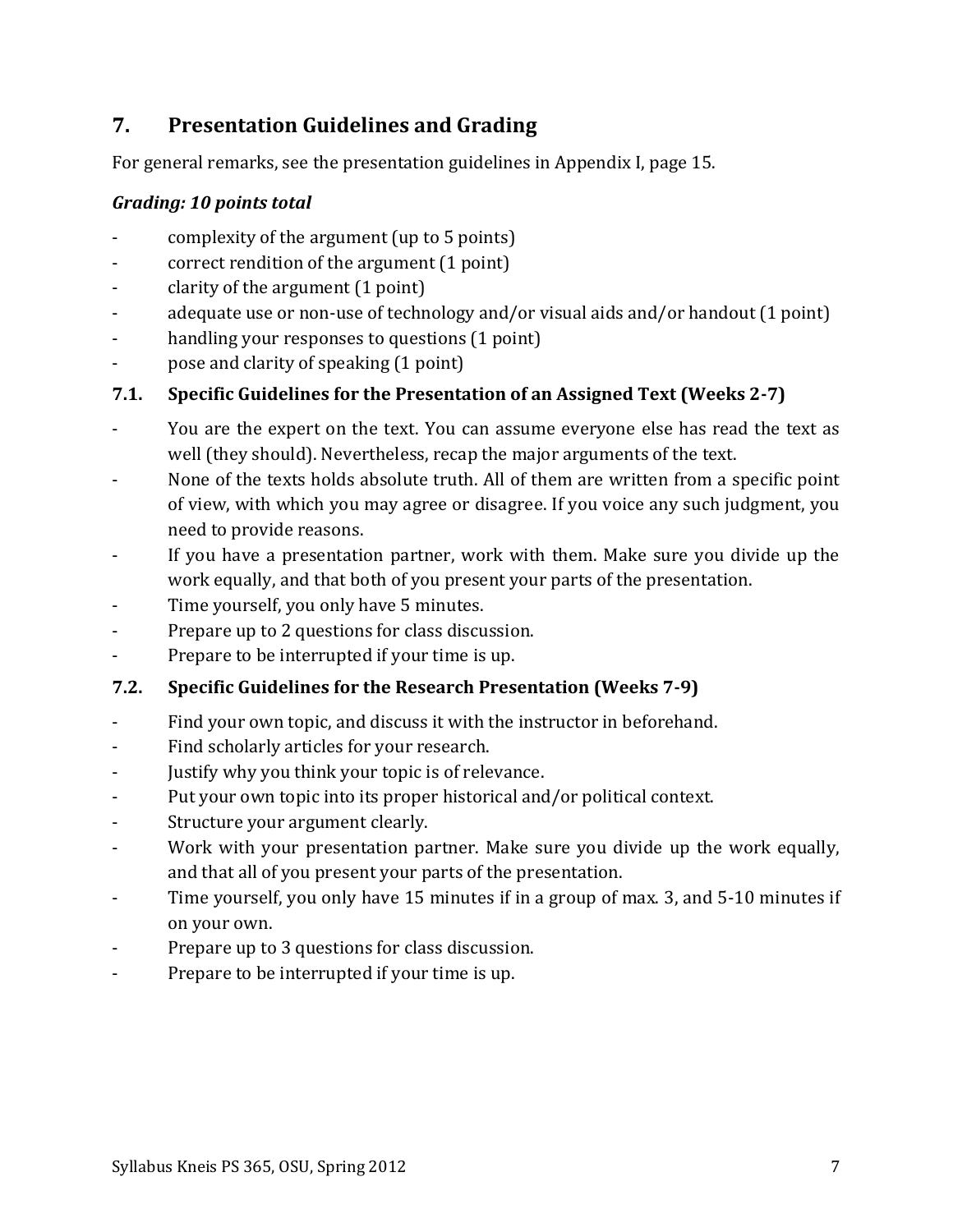# **7. Presentation Guidelines and Grading**

For general remarks, see the presentation guidelines in Appendix I, page [15.](#page-14-0)

# *Grading: 10 points total*

- complexity of the argument (up to 5 points)
- correct rendition of the argument (1 point)
- clarity of the argument (1 point)
- adequate use or non-use of technology and/or visual aids and/or handout (1 point)
- handling your responses to questions (1 point)
- pose and clarity of speaking (1 point)

# **7.1. Specific Guidelines for the Presentation of an Assigned Text (Weeks 2-7)**

- You are the expert on the text. You can assume everyone else has read the text as well (they should). Nevertheless, recap the major arguments of the text.
- None of the texts holds absolute truth. All of them are written from a specific point of view, with which you may agree or disagree. If you voice any such judgment, you need to provide reasons.
- If you have a presentation partner, work with them. Make sure you divide up the work equally, and that both of you present your parts of the presentation.
- Time yourself, you only have 5 minutes.
- Prepare up to 2 questions for class discussion.
- Prepare to be interrupted if your time is up.

# **7.2. Specific Guidelines for the Research Presentation (Weeks 7-9)**

- Find your own topic, and discuss it with the instructor in beforehand.
- Find scholarly articles for your research.
- Justify why you think your topic is of relevance.
- Put your own topic into its proper historical and/or political context.
- Structure your argument clearly.
- Work with your presentation partner. Make sure you divide up the work equally, and that all of you present your parts of the presentation.
- Time yourself, you only have 15 minutes if in a group of max. 3, and 5-10 minutes if on your own.
- Prepare up to 3 questions for class discussion.
- Prepare to be interrupted if your time is up.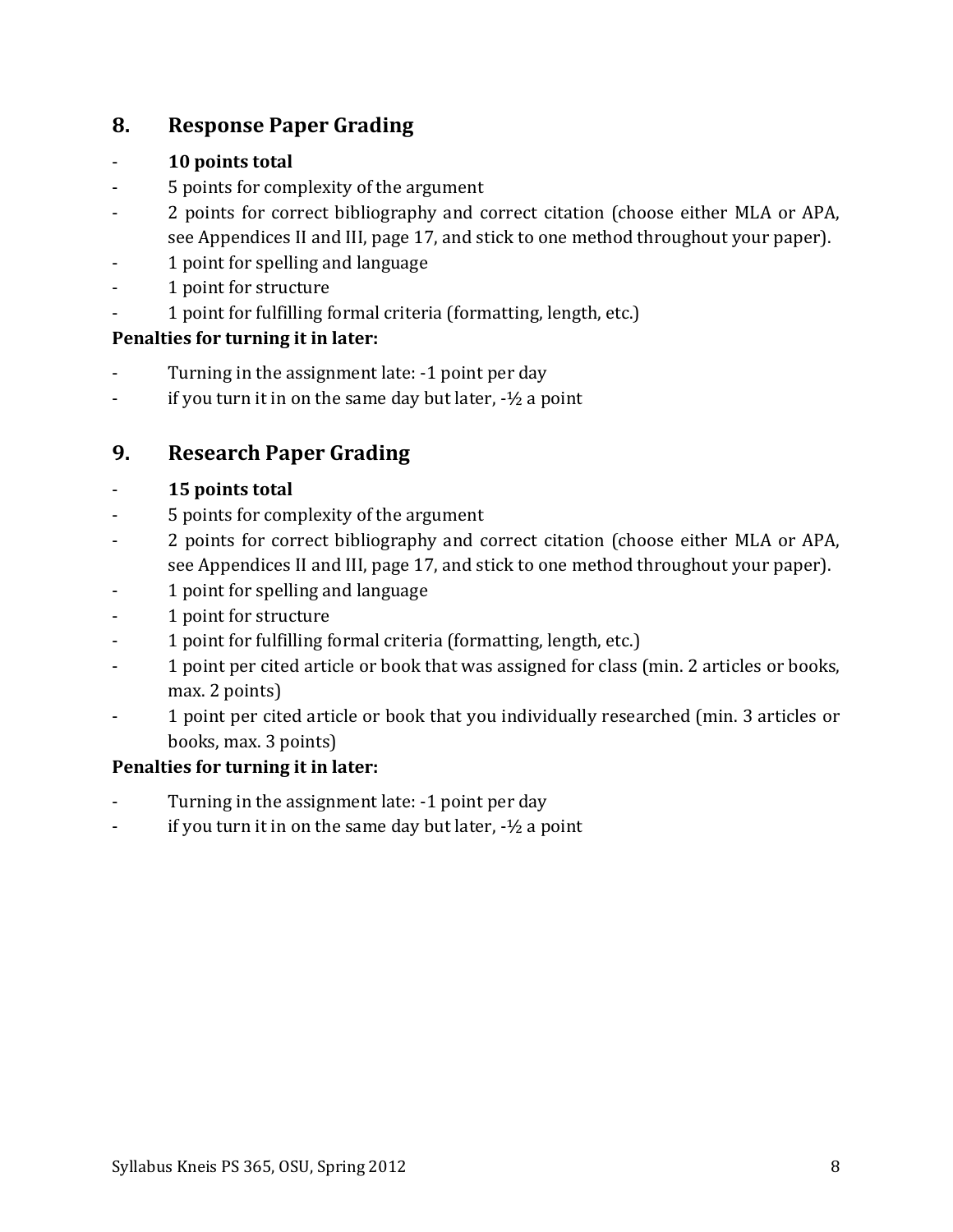# **8. Response Paper Grading**

# - **10 points total**

- 5 points for complexity of the argument
- 2 points for correct bibliography and correct citation (choose either MLA or APA, see Appendices II and III, page [17,](#page-16-0) and stick to one method throughout your paper).
- 1 point for spelling and language
- 1 point for structure
- 1 point for fulfilling formal criteria (formatting, length, etc.)

# **Penalties for turning it in later:**

- Turning in the assignment late: -1 point per day
- $\frac{1}{2}$  if you turn it in on the same day but later,  $-\frac{1}{2}$  a point

# **9. Research Paper Grading**

# - **15 points total**

- 5 points for complexity of the argument
- 2 points for correct bibliography and correct citation (choose either MLA or APA, see Appendices II and III, page [17,](#page-16-0) and stick to one method throughout your paper).
- 1 point for spelling and language
- 1 point for structure
- 1 point for fulfilling formal criteria (formatting, length, etc.)
- 1 point per cited article or book that was assigned for class (min. 2 articles or books, max. 2 points)
- 1 point per cited article or book that you individually researched (min. 3 articles or books, max. 3 points)

# **Penalties for turning it in later:**

- Turning in the assignment late: -1 point per day
- if you turn it in on the same day but later,  $-1/2$  a point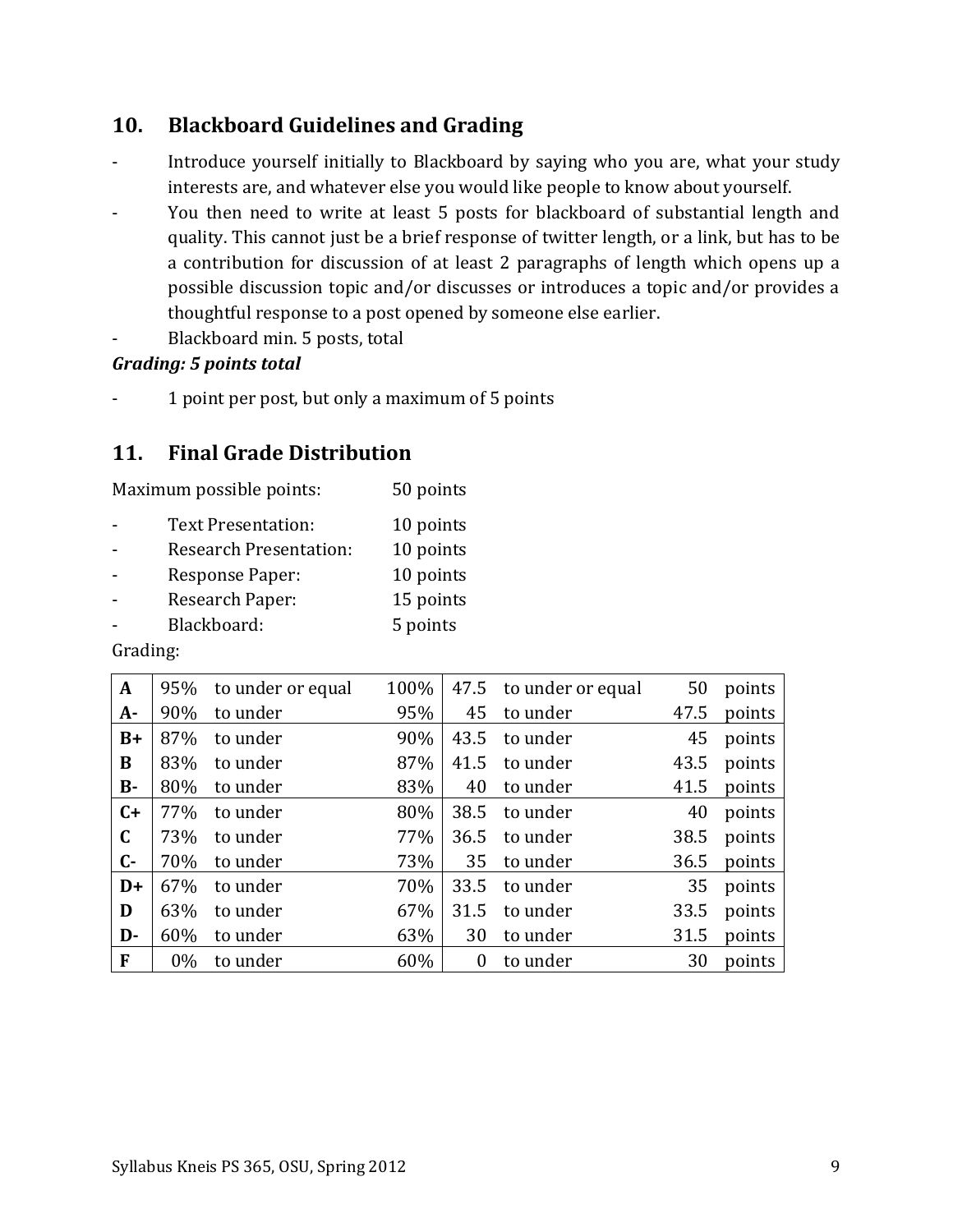# **10. Blackboard Guidelines and Grading**

- Introduce yourself initially to Blackboard by saying who you are, what your study interests are, and whatever else you would like people to know about yourself.
- You then need to write at least 5 posts for blackboard of substantial length and quality. This cannot just be a brief response of twitter length, or a link, but has to be a contribution for discussion of at least 2 paragraphs of length which opens up a possible discussion topic and/or discusses or introduces a topic and/or provides a thoughtful response to a post opened by someone else earlier.
- Blackboard min. 5 posts, total

# *Grading: 5 points total*

- 1 point per post, but only a maximum of 5 points

# **11. Final Grade Distribution**

| Maximum possible points: | 50 points |
|--------------------------|-----------|
|--------------------------|-----------|

| Text Presentation:            | 10 points |
|-------------------------------|-----------|
| <b>Research Presentation:</b> | 10 points |
| <b>Response Paper:</b>        | 10 points |
| Research Paper:               | 15 points |
| Blackboard:                   | 5 points  |
|                               |           |

Grading:

| A           | 95%   | to under or equal | 100% | 47.5     | to under or equal | 50   | points |
|-------------|-------|-------------------|------|----------|-------------------|------|--------|
| $A -$       | 90%   | to under          | 95%  | 45       | to under          | 47.5 | points |
| $B+$        | 87%   | to under          | 90%  | 43.5     | to under          | 45   | points |
| B           | 83%   | to under          | 87%  | 41.5     | to under          | 43.5 | points |
| $B -$       | 80%   | to under          | 83%  | 40       | to under          | 41.5 | points |
| $C+$        | 77%   | to under          | 80%  | 38.5     | to under          | 40   | points |
| $\mathbf C$ | 73%   | to under          | 77%  | 36.5     | to under          | 38.5 | points |
| $C -$       | 70%   | to under          | 73%  | 35       | to under          | 36.5 | points |
| $D+$        | 67%   | to under          | 70%  | 33.5     | to under          | 35   | points |
| D           | 63%   | to under          | 67%  | 31.5     | to under          | 33.5 | points |
| D-          | 60%   | to under          | 63%  | 30       | to under          | 31.5 | points |
| F           | $0\%$ | to under          | 60%  | $\theta$ | to under          | 30   | points |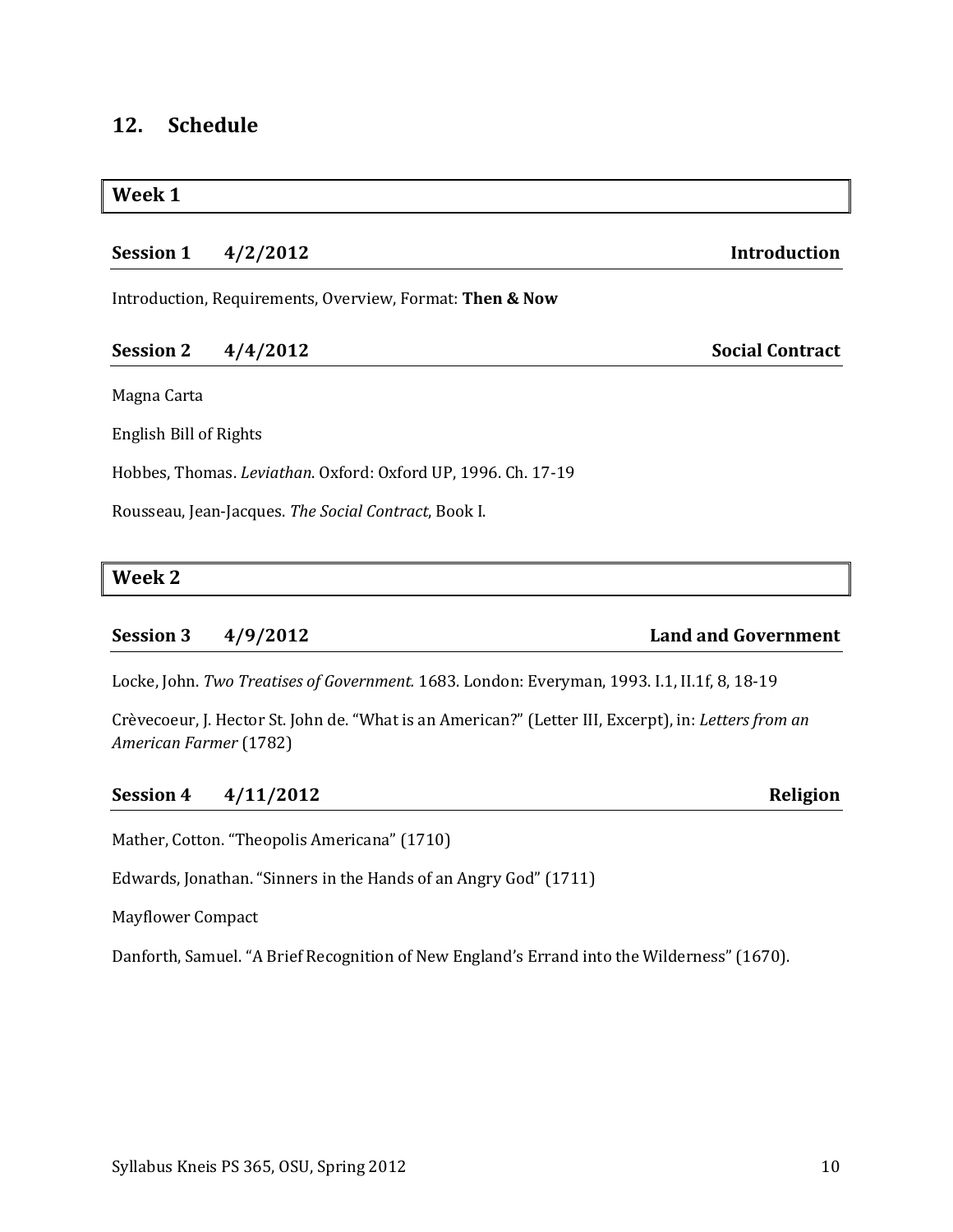# **12. Schedule**

## **Week 1**

# **Session 1 4/2/2012 Introduction**

Introduction, Requirements, Overview, Format: **Then & Now**

## **Session 2 4/4/2012 Social Contract**

Magna Carta

English Bill of Rights

Hobbes, Thomas. *Leviathan*. Oxford: Oxford UP, 1996. Ch. 17-19

Rousseau, Jean-Jacques. *The Social Contract*, Book I.

## **Week 2**

## **Session 3 4/9/2012 Land and Government**

Locke, John. *Two Treatises of Government.* 1683. London: Everyman, 1993. I.1, II.1f, 8, 18-19

Crèvecoeur, J. Hector St. John de. "What is an American?" (Letter III, Excerpt), in: *Letters from an American Farmer* (1782)

## **Session 4 4/11/2012 Religion**

Mather, Cotton. "Theopolis Americana" (1710)

Edwards, Jonathan. "Sinners in the Hands of an Angry God" (1711)

Mayflower Compact

Danforth, Samuel. "A Brief Recognition of New England's Errand into the Wilderness" (1670).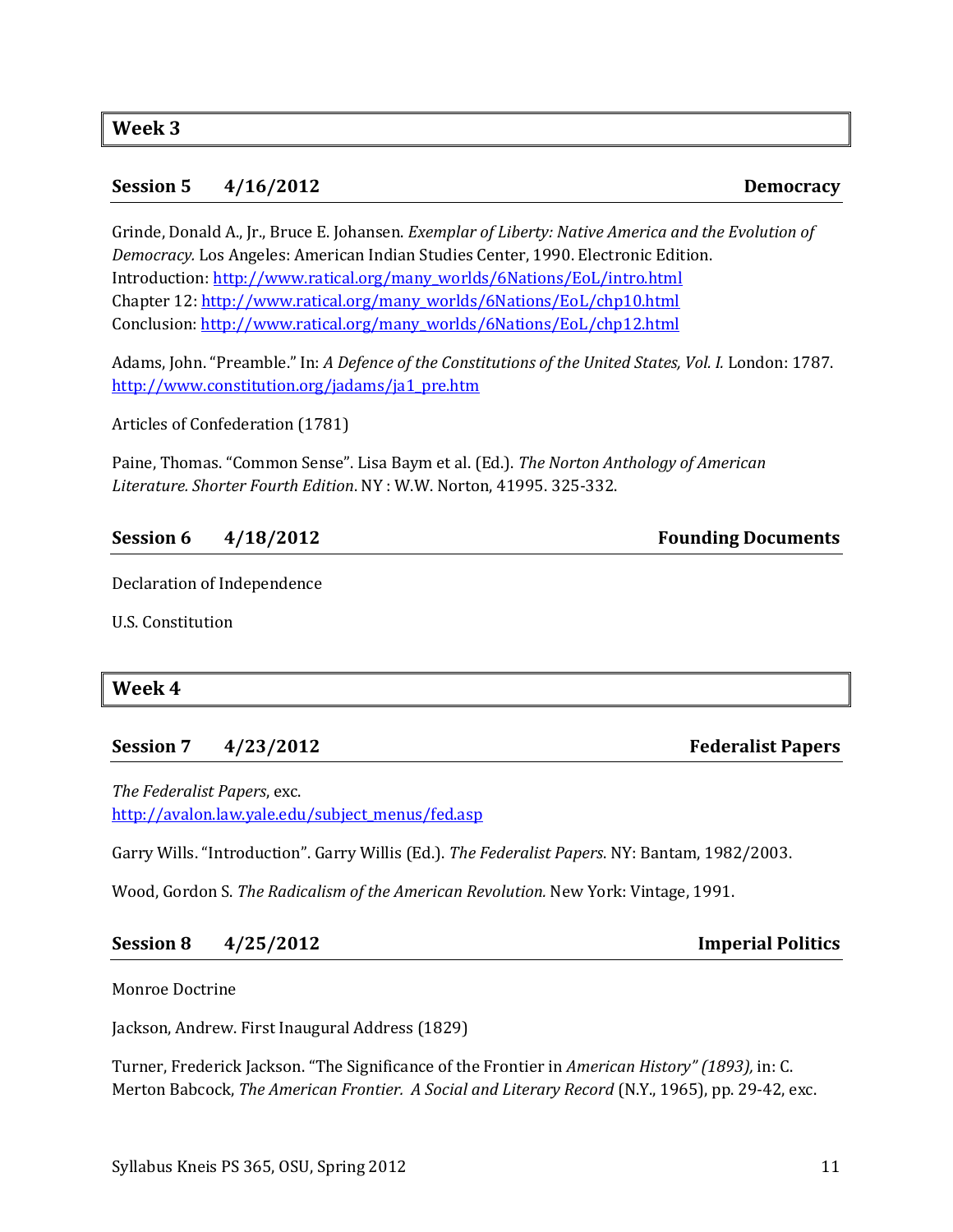### **Session 5 4/16/2012 Democracy**

Grinde, Donald A., Jr., Bruce E. Johansen. *Exemplar of Liberty: Native America and the Evolution of Democracy.* Los Angeles: American Indian Studies Center, 1990. Electronic Edition. Introduction: [http://www.ratical.org/many\\_worlds/6Nations/EoL/intro.html](http://www.ratical.org/many_worlds/6Nations/EoL/intro.html) Chapter 12[: http://www.ratical.org/many\\_worlds/6Nations/EoL/chp10.html](http://www.ratical.org/many_worlds/6Nations/EoL/chp10.html) Conclusion: [http://www.ratical.org/many\\_worlds/6Nations/EoL/chp12.html](http://www.ratical.org/many_worlds/6Nations/EoL/chp12.html)

Adams, John. "Preamble." In: *A Defence of the Constitutions of the United States, Vol. I.* London: 1787. [http://www.constitution.org/jadams/ja1\\_pre.htm](http://www.constitution.org/jadams/ja1_pre.htm)

Articles of Confederation (1781)

Paine, Thomas. "Common Sense". Lisa Baym et al. (Ed.). *The Norton Anthology of American Literature. Shorter Fourth Edition*. NY : W.W. Norton, 41995. 325-332.

## **Session 6 4/18/2012 Founding Documents**

Declaration of Independence

U.S. Constitution

## **Week 4**

## **Session 7 4/23/2012 Federalist Papers**

*The Federalist Papers*, exc. [http://avalon.law.yale.edu/subject\\_menus/fed.asp](http://avalon.law.yale.edu/subject_menus/fed.asp)

Garry Wills. "Introduction". Garry Willis (Ed.). *The Federalist Papers*. NY: Bantam, 1982/2003.

Wood, Gordon S. *The Radicalism of the American Revolution.* New York: Vintage, 1991.

## **Session 8 4/25/2012 Imperial Politics**

Monroe Doctrine

Jackson, Andrew. First Inaugural Address (1829)

Turner, Frederick Jackson. "The Significance of the Frontier in *American History" (1893),* in: C. Merton Babcock, *The American Frontier. A Social and Literary Record* (N.Y., 1965), pp. 29-42, exc.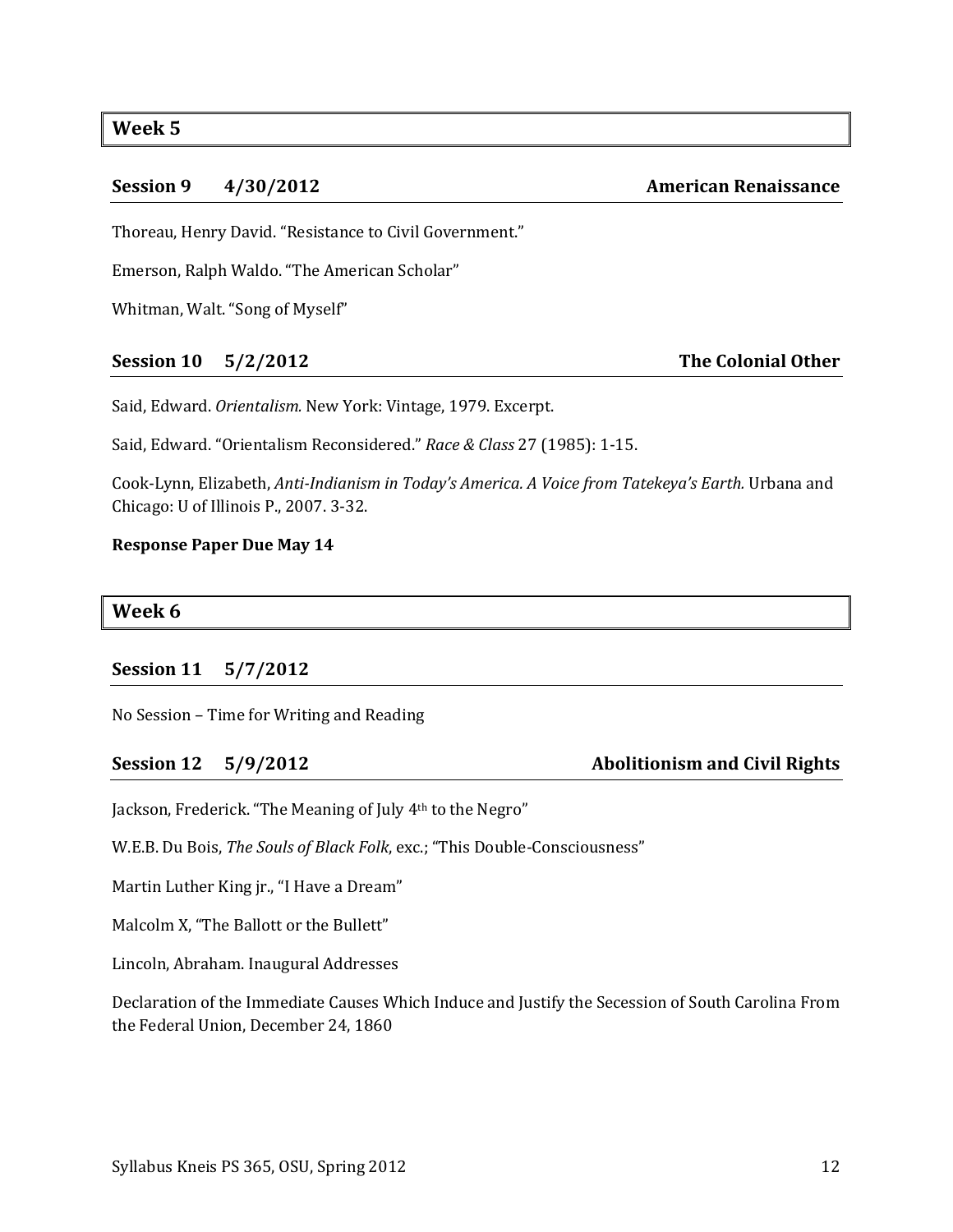# **Week 5**

### **Session 9 4/30/2012 American Renaissance**

Thoreau, Henry David. "Resistance to Civil Government."

Emerson, Ralph Waldo. "The American Scholar"

Whitman, Walt. "Song of Myself"

## **Session 10 5/2/2012 The Colonial Other**

Said, Edward. *Orientalism.* New York: Vintage, 1979. Excerpt.

Said, Edward. "Orientalism Reconsidered." *Race & Class* 27 (1985): 1-15.

Cook-Lynn, Elizabeth, *Anti-Indianism in Today's America. A Voice from Tatekeya's Earth.* Urbana and Chicago: U of Illinois P., 2007. 3-32.

### **Response Paper Due May 14**

### **Week 6**

## **Session 11 5/7/2012**

No Session – Time for Writing and Reading

**Session 12 5/9/2012 Abolitionism and Civil Rights**

Jackson, Frederick. "The Meaning of July 4th to the Negro"

W.E.B. Du Bois, *The Souls of Black Folk*, exc.; "This Double-Consciousness"

Martin Luther King jr., "I Have a Dream"

Malcolm X, "The Ballott or the Bullett"

Lincoln, Abraham. Inaugural Addresses

Declaration of the Immediate Causes Which Induce and Justify the Secession of South Carolina From the Federal Union, December 24, 1860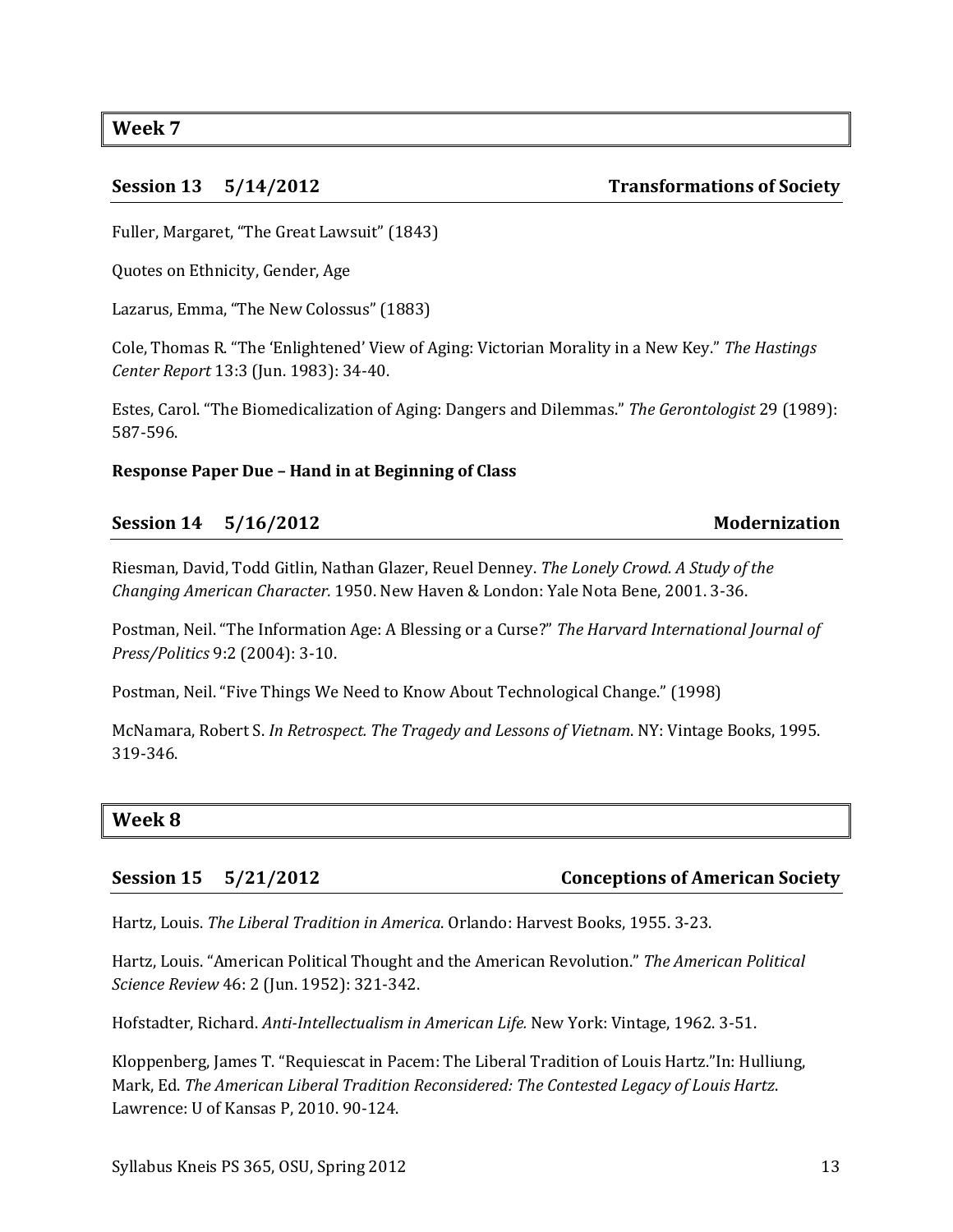**Week 7**

**Session 13 5/14/2012 Transformations of Society**

Fuller, Margaret, "The Great Lawsuit" (1843)

Quotes on Ethnicity, Gender, Age

Lazarus, Emma, "The New Colossus" (1883)

Cole, Thomas R. "The 'Enlightened' View of Aging: Victorian Morality in a New Key." *The Hastings Center Report* 13:3 (Jun. 1983): 34-40.

Estes, Carol. "The Biomedicalization of Aging: Dangers and Dilemmas." *The Gerontologist* 29 (1989): 587-596.

## **Response Paper Due – Hand in at Beginning of Class**

## **Session 14 5/16/2012 Modernization**

Riesman, David, Todd Gitlin, Nathan Glazer, Reuel Denney. *The Lonely Crowd. A Study of the Changing American Character.* 1950. New Haven & London: Yale Nota Bene, 2001. 3-36.

Postman, Neil. "The Information Age: A Blessing or a Curse?" *The Harvard International Journal of Press/Politics* 9:2 (2004): 3-10.

Postman, Neil. "Five Things We Need to Know About Technological Change." (1998)

McNamara, Robert S. *In Retrospect. The Tragedy and Lessons of Vietnam*. NY: Vintage Books, 1995. 319-346.

## **Week 8**

## **Session 15 5/21/2012 Conceptions of American Society**

Hartz, Louis. *The Liberal Tradition in America*. Orlando: Harvest Books, 1955. 3-23.

Hartz, Louis. "American Political Thought and the American Revolution." *The American Political Science Review* 46: 2 (Jun. 1952): 321-342.

Hofstadter, Richard. *Anti-Intellectualism in American Life.* New York: Vintage, 1962. 3-51.

Kloppenberg, James T. "Requiescat in Pacem: The Liberal Tradition of Louis Hartz."In: Hulliung, Mark, Ed. *The American Liberal Tradition Reconsidered: The Contested Legacy of Louis Hartz*. Lawrence: U of Kansas P, 2010. 90-124.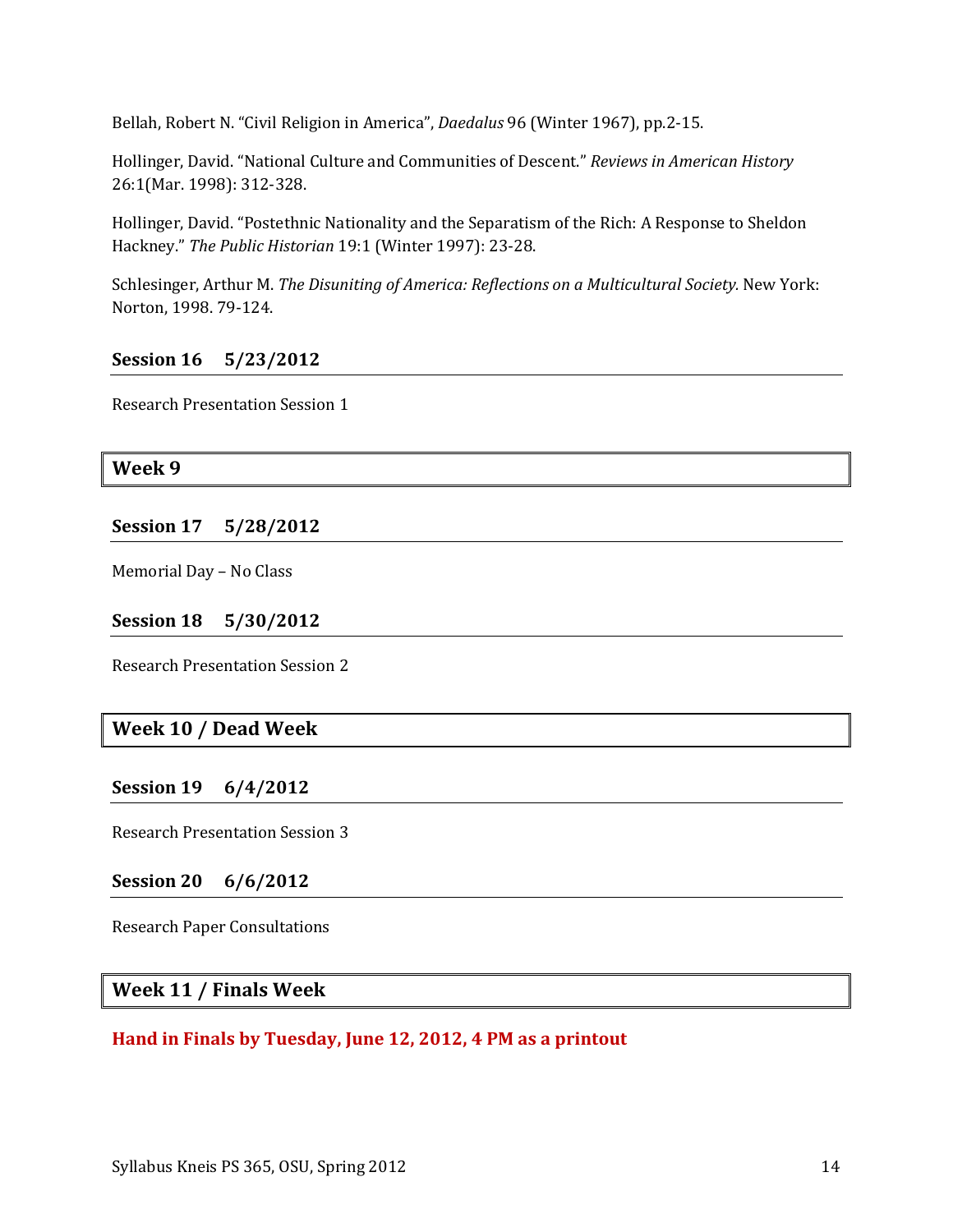Bellah, Robert N. "Civil Religion in America", *Daedalus* 96 (Winter 1967), pp.2-15.

Hollinger, David. "National Culture and Communities of Descent." *Reviews in American History* 26:1(Mar. 1998): 312-328.

Hollinger, David. "Postethnic Nationality and the Separatism of the Rich: A Response to Sheldon Hackney." *The Public Historian* 19:1 (Winter 1997): 23-28.

Schlesinger, Arthur M. *The Disuniting of America: Reflections on a Multicultural Society.* New York: Norton, 1998. 79-124.

## **Session 16 5/23/2012**

Research Presentation Session 1

### **Week 9**

**Session 17 5/28/2012**

Memorial Day – No Class

### **Session 18 5/30/2012**

Research Presentation Session 2

## **Week 10 / Dead Week**

## **Session 19 6/4/2012**

Research Presentation Session 3

## **Session 20 6/6/2012**

Research Paper Consultations

## **Week 11 / Finals Week**

## **Hand in Finals by Tuesday, June 12, 2012, 4 PM as a printout**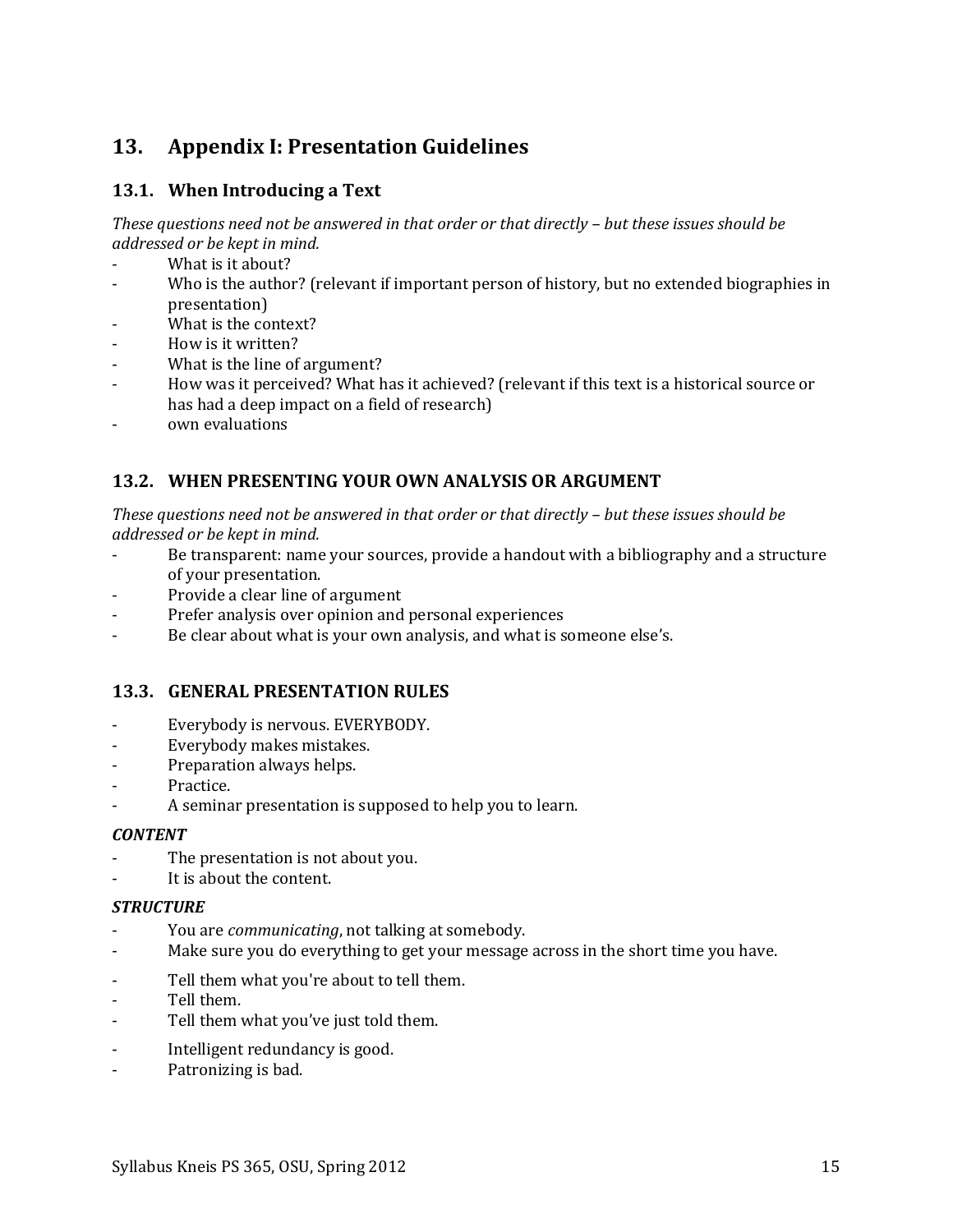# <span id="page-14-0"></span>**13. Appendix I: Presentation Guidelines**

# **13.1. When Introducing a Text**

*These questions need not be answered in that order or that directly – but these issues should be addressed or be kept in mind.*

- What is it about?
- Who is the author? (relevant if important person of history, but no extended biographies in presentation)
- What is the context?
- How is it written?
- What is the line of argument?
- How was it perceived? What has it achieved? (relevant if this text is a historical source or has had a deep impact on a field of research)
- own evaluations

## **13.2. WHEN PRESENTING YOUR OWN ANALYSIS OR ARGUMENT**

*These questions need not be answered in that order or that directly – but these issues should be addressed or be kept in mind.*

- Be transparent: name your sources, provide a handout with a bibliography and a structure of your presentation.
- Provide a clear line of argument
- Prefer analysis over opinion and personal experiences
- Be clear about what is your own analysis, and what is someone else's.

## **13.3. GENERAL PRESENTATION RULES**

- Everybody is nervous. EVERYBODY.
- Everybody makes mistakes.
- Preparation always helps.
- Practice.
- A seminar presentation is supposed to help you to learn.

### *CONTENT*

- The presentation is not about you.
- It is about the content.

### *STRUCTURE*

- You are *communicating*, not talking at somebody.
- Make sure you do everything to get your message across in the short time you have.
- Tell them what you're about to tell them.
- Tell them.
- Tell them what you've just told them.
- Intelligent redundancy is good.
- Patronizing is bad.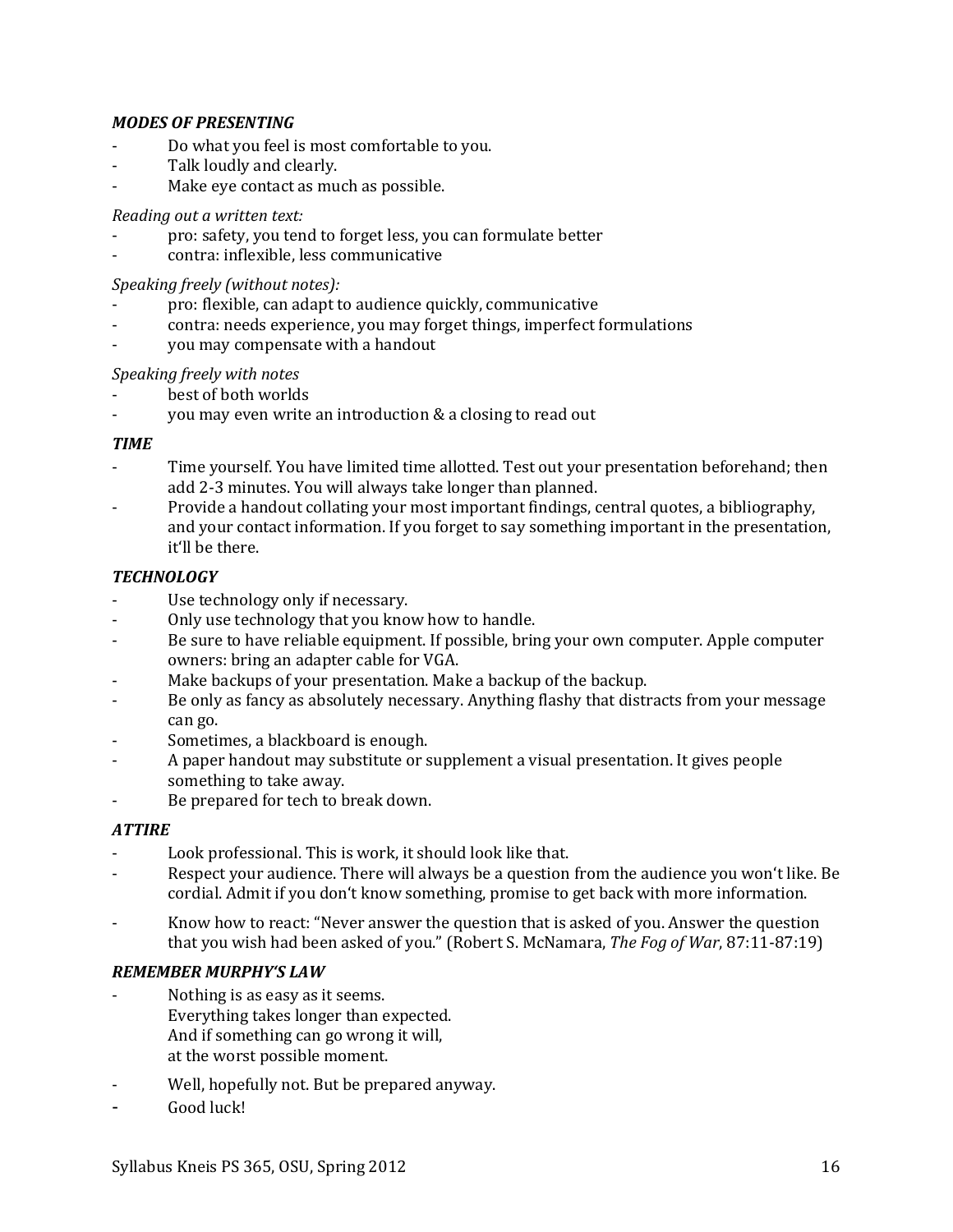## *MODES OF PRESENTING*

- Do what you feel is most comfortable to you.
- Talk loudly and clearly.
- Make eye contact as much as possible.

## *Reading out a written text:*

- pro: safety, you tend to forget less, you can formulate better
- contra: inflexible, less communicative

## *Speaking freely (without notes):*

- pro: flexible, can adapt to audience quickly, communicative
- contra: needs experience, you may forget things, imperfect formulations
- you may compensate with a handout

## *Speaking freely with notes*

- best of both worlds
- you may even write an introduction & a closing to read out

## *TIME*

- Time yourself. You have limited time allotted. Test out your presentation beforehand; then add 2-3 minutes. You will always take longer than planned.
- Provide a handout collating your most important findings, central quotes, a bibliography, and your contact information. If you forget to say something important in the presentation, it'll be there.

## *TECHNOLOGY*

- Use technology only if necessary.
- Only use technology that you know how to handle.
- Be sure to have reliable equipment. If possible, bring your own computer. Apple computer owners: bring an adapter cable for VGA.
- Make backups of your presentation. Make a backup of the backup.
- Be only as fancy as absolutely necessary. Anything flashy that distracts from your message can go.
- Sometimes, a blackboard is enough.
- A paper handout may substitute or supplement a visual presentation. It gives people something to take away.
- Be prepared for tech to break down.

## *ATTIRE*

- Look professional. This is work, it should look like that.
- Respect your audience. There will always be a question from the audience you won't like. Be cordial. Admit if you don't know something, promise to get back with more information.
- Know how to react: "Never answer the question that is asked of you. Answer the question that you wish had been asked of you." (Robert S. McNamara, *The Fog of War*, 87:11-87:19)

## *REMEMBER MURPHY'S LAW*

- Nothing is as easy as it seems. Everything takes longer than expected. And if something can go wrong it will, at the worst possible moment.
- Well, hopefully not. But be prepared anyway.
- Good luck!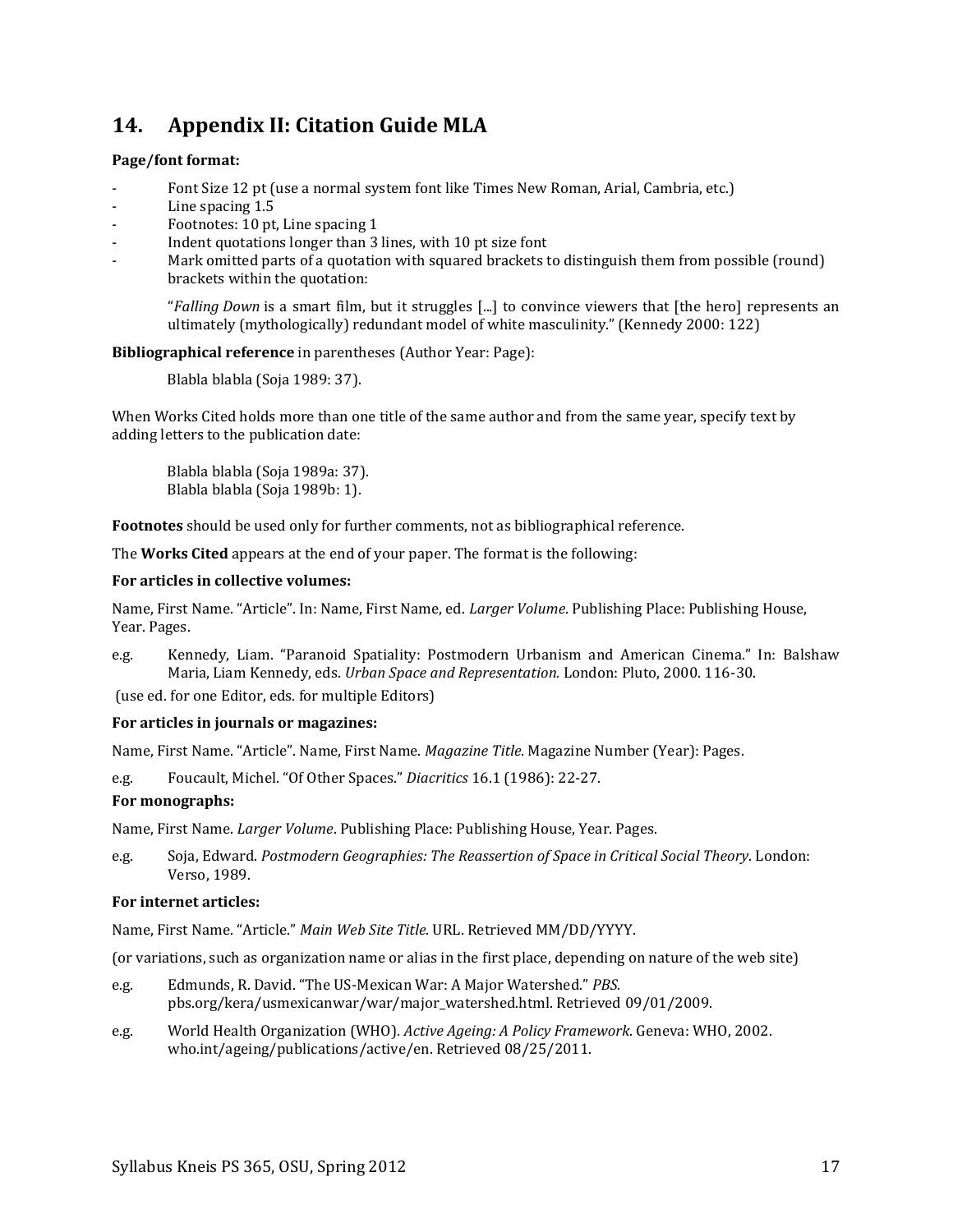# <span id="page-16-0"></span>**14. Appendix II: Citation Guide MLA**

### **Page/font format:**

- Font Size 12 pt (use a normal system font like Times New Roman, Arial, Cambria, etc.)
- Line spacing 1.5
- Footnotes: 10 pt, Line spacing 1
- Indent quotations longer than 3 lines, with 10 pt size font
- Mark omitted parts of a quotation with squared brackets to distinguish them from possible (round) brackets within the quotation:

"*Falling Down* is a smart film, but it struggles [...] to convince viewers that [the hero] represents an ultimately (mythologically) redundant model of white masculinity." (Kennedy 2000: 122)

### **Bibliographical reference** in parentheses (Author Year: Page):

Blabla blabla (Soja 1989: 37).

When Works Cited holds more than one title of the same author and from the same year, specify text by adding letters to the publication date:

Blabla blabla (Soja 1989a: 37). Blabla blabla (Soja 1989b: 1).

**Footnotes** should be used only for further comments, not as bibliographical reference.

The **Works Cited** appears at the end of your paper. The format is the following:

### **For articles in collective volumes:**

Name, First Name. "Article". In: Name, First Name, ed. *Larger Volume*. Publishing Place: Publishing House, Year. Pages.

e.g. Kennedy, Liam. "Paranoid Spatiality: Postmodern Urbanism and American Cinema." In: Balshaw Maria, Liam Kennedy, eds. *Urban Space and Representation.* London: Pluto, 2000. 116-30.

(use ed. for one Editor, eds. for multiple Editors)

### **For articles in journals or magazines:**

Name, First Name. "Article". Name, First Name. *Magazine Title*. Magazine Number (Year): Pages.

e.g. Foucault, Michel. "Of Other Spaces." *Diacritics* 16.1 (1986): 22-27.

### **For monographs:**

Name, First Name. *Larger Volume*. Publishing Place: Publishing House, Year. Pages.

e.g. Soja, Edward. *Postmodern Geographies: The Reassertion of Space in Critical Social Theory*. London: Verso, 1989.

### **For internet articles:**

Name, First Name. "Article." *Main Web Site Title*. URL. Retrieved MM/DD/YYYY.

(or variations, such as organization name or alias in the first place, depending on nature of the web site)

- e.g. Edmunds, R. David. "The US-Mexican War: A Major Watershed." *PBS.*  pbs.org/kera/usmexicanwar/war/major\_watershed.html. Retrieved 09/01/2009.
- e.g. World Health Organization (WHO). *Active Ageing: A Policy Framework*. Geneva: WHO, 2002. who.int/ageing/publications/active/en. Retrieved 08/25/2011.